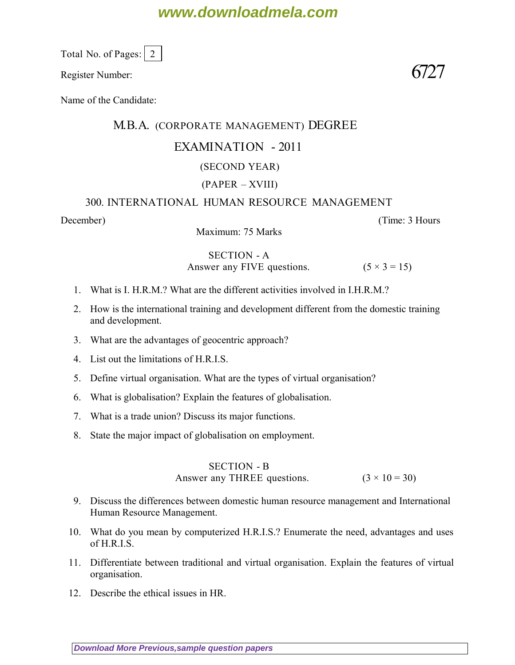## **www.downloadmela.com**

Total No. of Pages:  $\vert 2 \vert$ 

Register Number:  $6727$ 

Name of the Candidate:

## M.B.A. (CORPORATE MANAGEMENT) DEGREE

## EXAMINATION - 2011

## (SECOND YEAR)

### (PAPER – XVIII)

### 300. INTERNATIONAL HUMAN RESOURCE MANAGEMENT

*December*) (*Time: 3 Hours*

Maximum: 75 Marks

## SECTION - A

Answer any FIVE questions.  $(5 \times 3 = 15)$ 

- 1. What is I. H.R.M.? What are the different activities involved in I.H.R.M.?
- 2. How is the international training and development different from the domestic training and development.
- 3. What are the advantages of geocentric approach?
- 4. List out the limitations of H.R.I.S.
- 5. Define virtual organisation. What are the types of virtual organisation?
- 6. What is globalisation? Explain the features of globalisation.
- 7. What is a trade union? Discuss its major functions.
- 8. State the major impact of globalisation on employment.

#### SECTION - B Answer any THREE questions.  $(3 \times 10 = 30)$

- 9. Discuss the differences between domestic human resource management and International Human Resource Management.
- 10. What do you mean by computerized H.R.I.S.? Enumerate the need, advantages and uses  $off RIS$
- 11. Differentiate between traditional and virtual organisation. Explain the features of virtual organisation.
- 12. Describe the ethical issues in HR.

**[Download More Previous,sample question papers](http://downloadmela.com/pages/previouspapers/previouspapers.html)**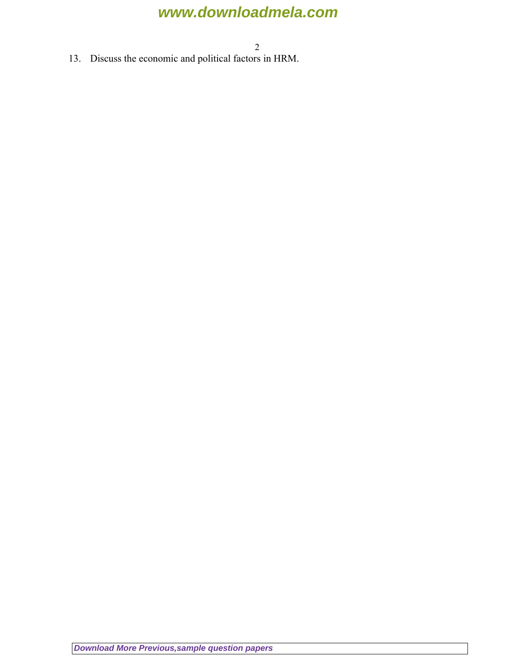# **www.downloadmela.com**

2

13. Discuss the economic and political factors in HRM.